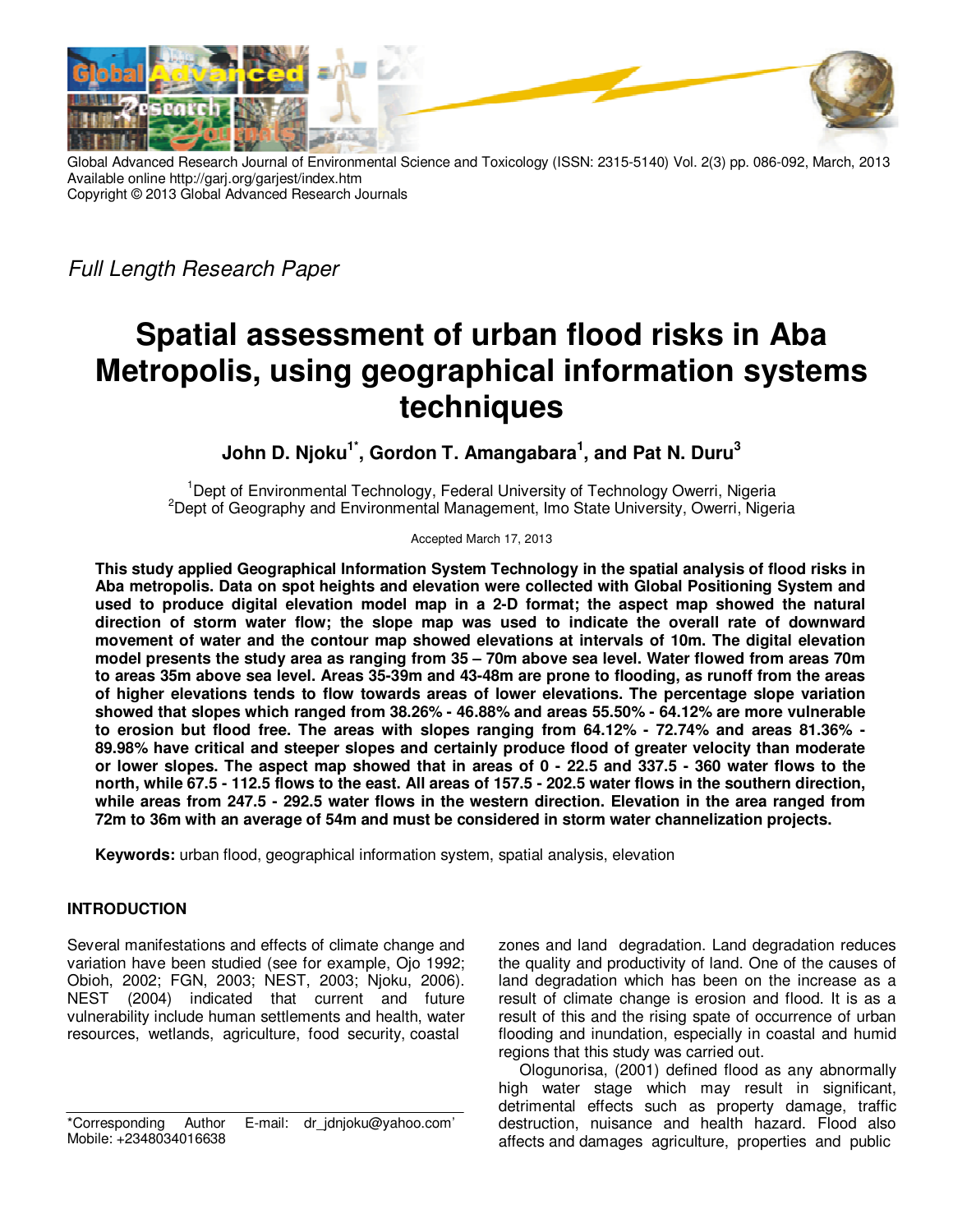

Global Advanced Research Journal of Environmental Science and Toxicology (ISSN: 2315-5140) Vol. 2(3) pp. 086-092, March, 2013 Available online http://garj.org/garjest/index.htm Copyright © 2013 Global Advanced Research Journals

Full Length Research Paper

# **Spatial assessment of urban flood risks in Aba Metropolis, using geographical information systems techniques**

**John D. Njoku1\*, Gordon T. Amangabara<sup>1</sup> , and Pat N. Duru<sup>3</sup>**

<sup>1</sup>Dept of Environmental Technology, Federal University of Technology Owerri, Nigeria  $^{2}$ Dept of Geography and Environmental Management, Imo State University, Owerri, Nigeria

Accepted March 17, 2013

**This study applied Geographical Information System Technology in the spatial analysis of flood risks in Aba metropolis. Data on spot heights and elevation were collected with Global Positioning System and used to produce digital elevation model map in a 2-D format; the aspect map showed the natural direction of storm water flow; the slope map was used to indicate the overall rate of downward movement of water and the contour map showed elevations at intervals of 10m. The digital elevation model presents the study area as ranging from 35 – 70m above sea level. Water flowed from areas 70m to areas 35m above sea level. Areas 35-39m and 43-48m are prone to flooding, as runoff from the areas of higher elevations tends to flow towards areas of lower elevations. The percentage slope variation showed that slopes which ranged from 38.26% - 46.88% and areas 55.50% - 64.12% are more vulnerable to erosion but flood free. The areas with slopes ranging from 64.12% - 72.74% and areas 81.36% - 89.98% have critical and steeper slopes and certainly produce flood of greater velocity than moderate or lower slopes. The aspect map showed that in areas of 0 - 22.5 and 337.5 - 360 water flows to the north, while 67.5 - 112.5 flows to the east. All areas of 157.5 - 202.5 water flows in the southern direction, while areas from 247.5 - 292.5 water flows in the western direction. Elevation in the area ranged from 72m to 36m with an average of 54m and must be considered in storm water channelization projects.** 

**Keywords:** urban flood, geographical information system, spatial analysis, elevation

## **INTRODUCTION**

Several manifestations and effects of climate change and variation have been studied (see for example, Ojo 1992; Obioh, 2002; FGN, 2003; NEST, 2003; Njoku, 2006). NEST (2004) indicated that current and future vulnerability include human settlements and health, water resources, wetlands, agriculture, food security, coastal

zones and land degradation. Land degradation reduces the quality and productivity of land. One of the causes of land degradation which has been on the increase as a result of climate change is erosion and flood. It is as a result of this and the rising spate of occurrence of urban flooding and inundation, especially in coastal and humid regions that this study was carried out.

Ologunorisa, (2001) defined flood as any abnormally high water stage which may result in significant, detrimental effects such as property damage, traffic destruction, nuisance and health hazard. Flood also affects and damages agriculture, properties and public

<sup>\*</sup>Corresponding Author E-mail: dr\_jdnjoku@yahoo.com' Mobile: +2348034016638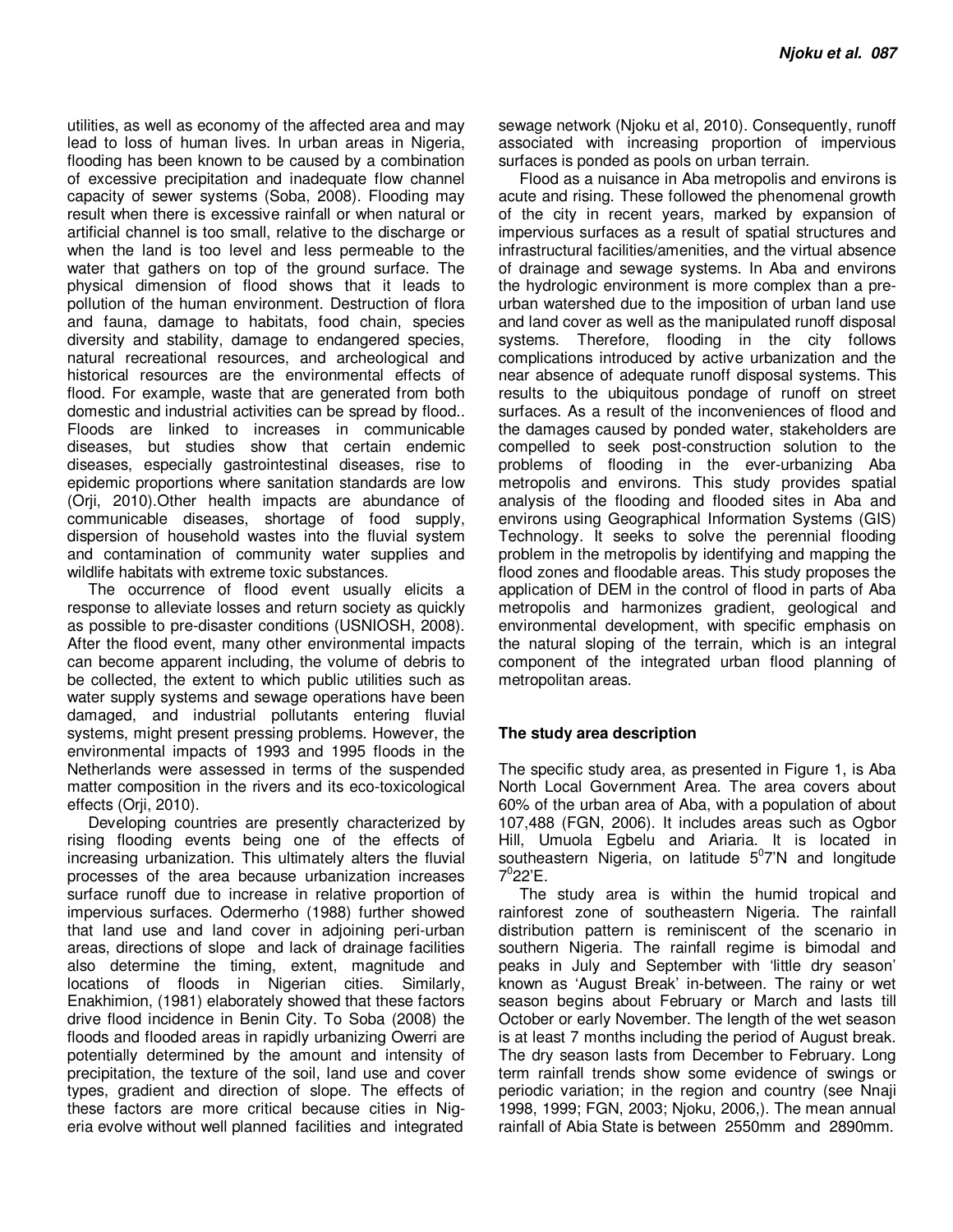utilities, as well as economy of the affected area and may lead to loss of human lives. In urban areas in Nigeria, flooding has been known to be caused by a combination of excessive precipitation and inadequate flow channel capacity of sewer systems (Soba, 2008). Flooding may result when there is excessive rainfall or when natural or artificial channel is too small, relative to the discharge or when the land is too level and less permeable to the water that gathers on top of the ground surface. The physical dimension of flood shows that it leads to pollution of the human environment. Destruction of flora and fauna, damage to habitats, food chain, species diversity and stability, damage to endangered species, natural recreational resources, and archeological and historical resources are the environmental effects of flood. For example, waste that are generated from both domestic and industrial activities can be spread by flood.. Floods are linked to increases in communicable diseases, but studies show that certain endemic diseases, especially gastrointestinal diseases, rise to epidemic proportions where sanitation standards are low (Orji, 2010).Other health impacts are abundance of communicable diseases, shortage of food supply, dispersion of household wastes into the fluvial system and contamination of community water supplies and wildlife habitats with extreme toxic substances.

The occurrence of flood event usually elicits a response to alleviate losses and return society as quickly as possible to pre-disaster conditions (USNIOSH, 2008). After the flood event, many other environmental impacts can become apparent including, the volume of debris to be collected, the extent to which public utilities such as water supply systems and sewage operations have been damaged, and industrial pollutants entering fluvial systems, might present pressing problems. However, the environmental impacts of 1993 and 1995 floods in the Netherlands were assessed in terms of the suspended matter composition in the rivers and its eco-toxicological effects (Orji, 2010).

Developing countries are presently characterized by rising flooding events being one of the effects of increasing urbanization. This ultimately alters the fluvial processes of the area because urbanization increases surface runoff due to increase in relative proportion of impervious surfaces. Odermerho (1988) further showed that land use and land cover in adjoining peri-urban areas, directions of slope and lack of drainage facilities also determine the timing, extent, magnitude and locations of floods in Nigerian cities. Similarly, Enakhimion, (1981) elaborately showed that these factors drive flood incidence in Benin City. To Soba (2008) the floods and flooded areas in rapidly urbanizing Owerri are potentially determined by the amount and intensity of precipitation, the texture of the soil, land use and cover types, gradient and direction of slope. The effects of these factors are more critical because cities in Nigeria evolve without well planned facilities and integrated

sewage network (Njoku et al, 2010). Consequently, runoff associated with increasing proportion of impervious surfaces is ponded as pools on urban terrain.

Flood as a nuisance in Aba metropolis and environs is acute and rising. These followed the phenomenal growth of the city in recent years, marked by expansion of impervious surfaces as a result of spatial structures and infrastructural facilities/amenities, and the virtual absence of drainage and sewage systems. In Aba and environs the hydrologic environment is more complex than a preurban watershed due to the imposition of urban land use and land cover as well as the manipulated runoff disposal systems. Therefore, flooding in the city follows complications introduced by active urbanization and the near absence of adequate runoff disposal systems. This results to the ubiquitous pondage of runoff on street surfaces. As a result of the inconveniences of flood and the damages caused by ponded water, stakeholders are compelled to seek post-construction solution to the problems of flooding in the ever-urbanizing Aba metropolis and environs. This study provides spatial analysis of the flooding and flooded sites in Aba and environs using Geographical Information Systems (GIS) Technology. It seeks to solve the perennial flooding problem in the metropolis by identifying and mapping the flood zones and floodable areas. This study proposes the application of DEM in the control of flood in parts of Aba metropolis and harmonizes gradient, geological and environmental development, with specific emphasis on the natural sloping of the terrain, which is an integral component of the integrated urban flood planning of metropolitan areas.

## **The study area description**

The specific study area, as presented in Figure 1, is Aba North Local Government Area. The area covers about 60% of the urban area of Aba, with a population of about 107,488 (FGN, 2006). It includes areas such as Ogbor Hill, Umuola Egbelu and Ariaria. It is located in southeastern Nigeria, on latitude  $5^0$ 7'N and longitude  $7^0$ 22'E.

The study area is within the humid tropical and rainforest zone of southeastern Nigeria. The rainfall distribution pattern is reminiscent of the scenario in southern Nigeria. The rainfall regime is bimodal and peaks in July and September with 'little dry season' known as 'August Break' in-between. The rainy or wet season begins about February or March and lasts till October or early November. The length of the wet season is at least 7 months including the period of August break. The dry season lasts from December to February. Long term rainfall trends show some evidence of swings or periodic variation; in the region and country (see Nnaji 1998, 1999; FGN, 2003; Njoku, 2006,). The mean annual rainfall of Abia State is between 2550mm and 2890mm.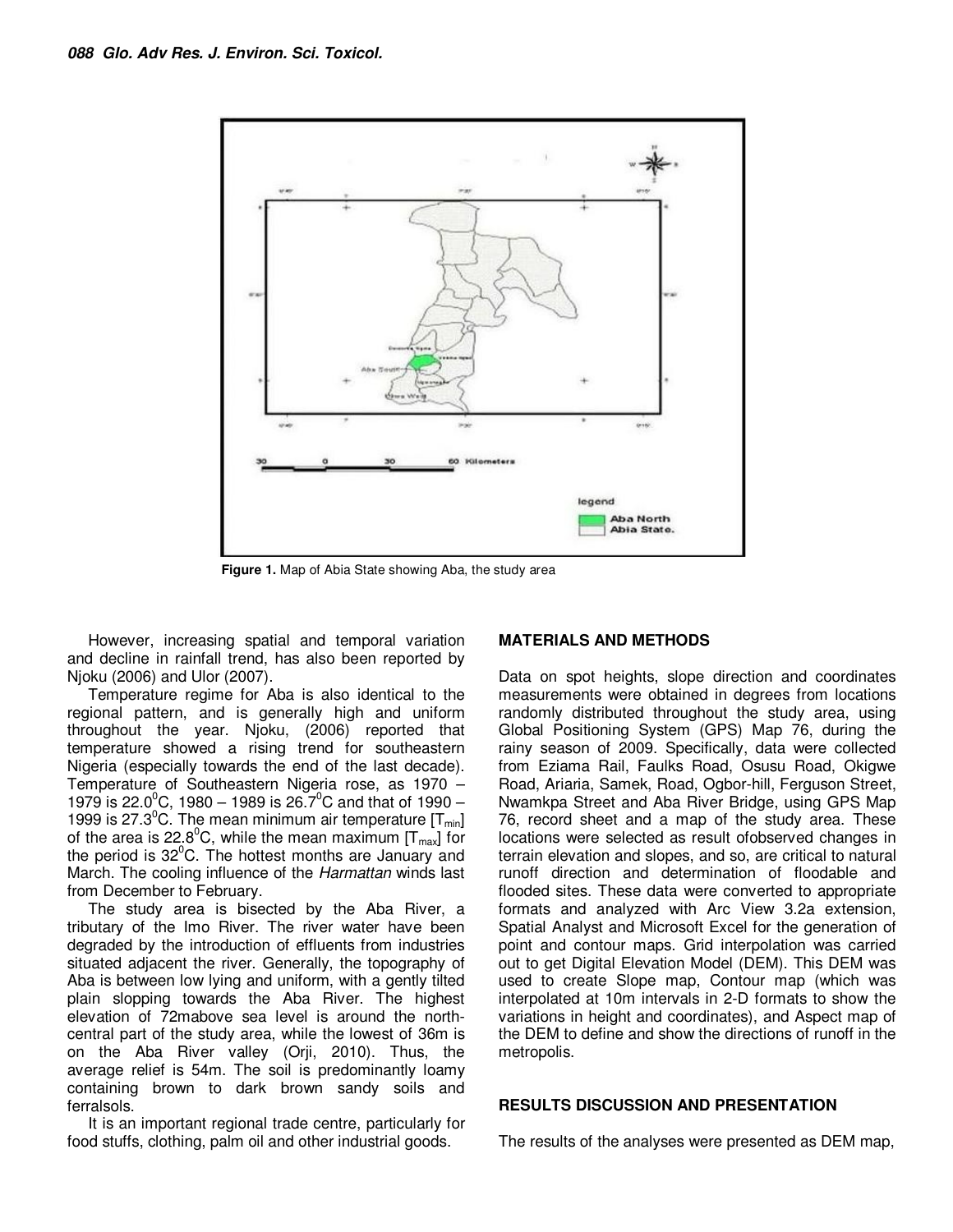

**Figure 1.** Map of Abia State showing Aba, the study area

However, increasing spatial and temporal variation and decline in rainfall trend, has also been reported by Njoku (2006) and Ulor (2007).

Temperature regime for Aba is also identical to the regional pattern, and is generally high and uniform throughout the year. Njoku, (2006) reported that temperature showed a rising trend for southeastern Nigeria (especially towards the end of the last decade). Temperature of Southeastern Nigeria rose, as 1970 – 1979 is 22.0<sup>o</sup>C, 1980 – 1989 is 26.7<sup>o</sup>C and that of 1990 – 1999 is 27.3<sup>o</sup>C. The mean minimum air temperature  $[T<sub>min</sub>]$ of the area is 22.8<sup>o</sup>C, while the mean maximum  $[T<sub>max</sub>]$  for the period is  $32^{\circ}$ C. The hottest months are January and March. The cooling influence of the Harmattan winds last from December to February.

The study area is bisected by the Aba River, a tributary of the Imo River. The river water have been degraded by the introduction of effluents from industries situated adjacent the river. Generally, the topography of Aba is between low lying and uniform, with a gently tilted plain slopping towards the Aba River. The highest elevation of 72mabove sea level is around the northcentral part of the study area, while the lowest of 36m is on the Aba River valley (Orji, 2010). Thus, the average relief is 54m. The soil is predominantly loamy containing brown to dark brown sandy soils and ferralsols.

It is an important regional trade centre, particularly for food stuffs, clothing, palm oil and other industrial goods.

#### **MATERIALS AND METHODS**

Data on spot heights, slope direction and coordinates measurements were obtained in degrees from locations randomly distributed throughout the study area, using Global Positioning System (GPS) Map 76, during the rainy season of 2009. Specifically, data were collected from Eziama Rail, Faulks Road, Osusu Road, Okigwe Road, Ariaria, Samek, Road, Ogbor-hill, Ferguson Street, Nwamkpa Street and Aba River Bridge, using GPS Map 76, record sheet and a map of the study area. These locations were selected as result ofobserved changes in terrain elevation and slopes, and so, are critical to natural runoff direction and determination of floodable and flooded sites. These data were converted to appropriate formats and analyzed with Arc View 3.2a extension, Spatial Analyst and Microsoft Excel for the generation of point and contour maps. Grid interpolation was carried out to get Digital Elevation Model (DEM). This DEM was used to create Slope map, Contour map (which was interpolated at 10m intervals in 2-D formats to show the variations in height and coordinates), and Aspect map of the DEM to define and show the directions of runoff in the metropolis.

#### **RESULTS DISCUSSION AND PRESENTATION**

The results of the analyses were presented as DEM map,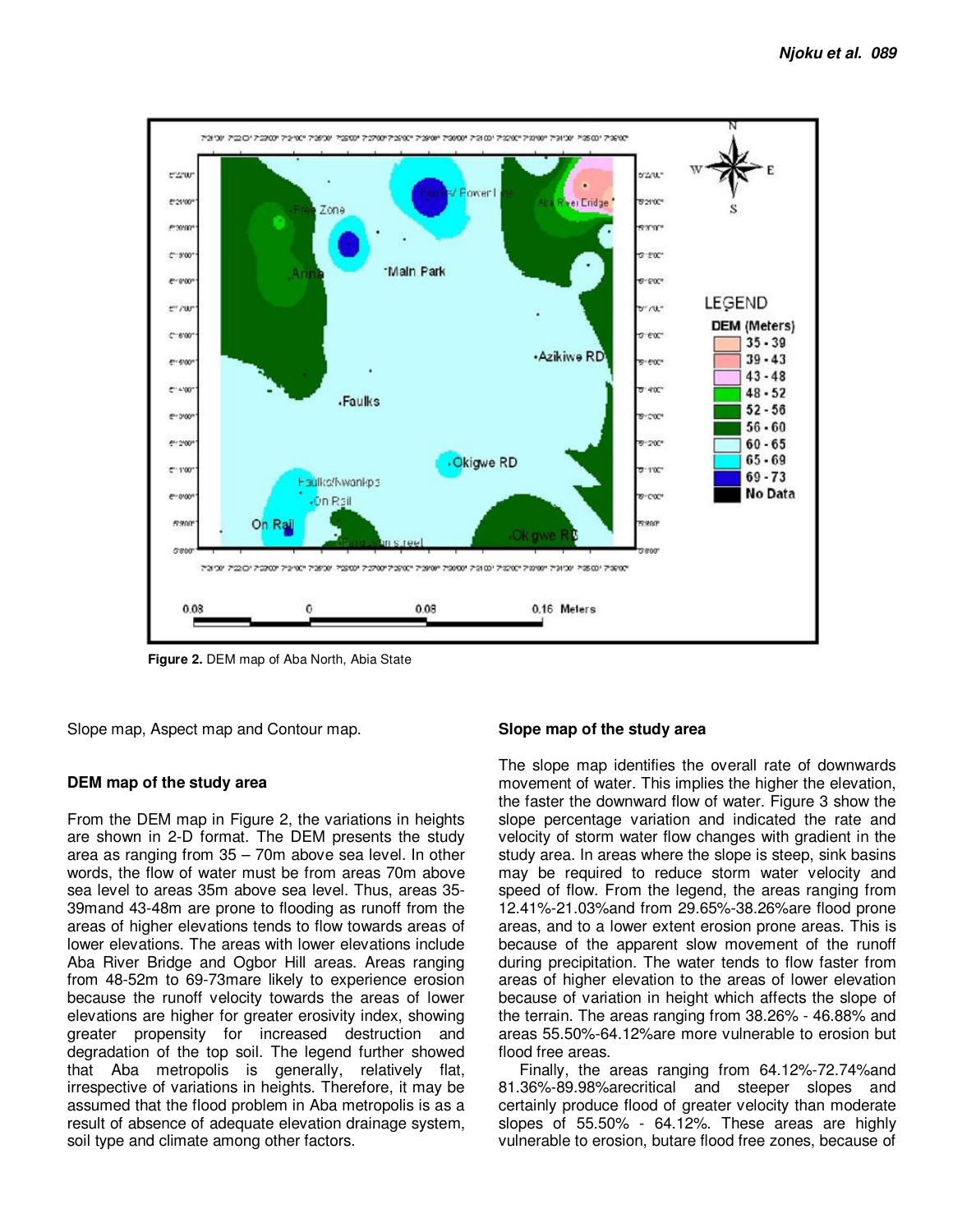

 **Figure 2.** DEM map of Aba North, Abia State

Slope map, Aspect map and Contour map.

## **DEM map of the study area**

From the DEM map in Figure 2, the variations in heights are shown in 2-D format. The DEM presents the study area as ranging from 35 – 70m above sea level. In other words, the flow of water must be from areas 70m above sea level to areas 35m above sea level. Thus, areas 35- 39mand 43-48m are prone to flooding as runoff from the areas of higher elevations tends to flow towards areas of lower elevations. The areas with lower elevations include Aba River Bridge and Ogbor Hill areas. Areas ranging from 48-52m to 69-73mare likely to experience erosion because the runoff velocity towards the areas of lower elevations are higher for greater erosivity index, showing greater propensity for increased destruction and degradation of the top soil. The legend further showed that Aba metropolis is generally, relatively flat, irrespective of variations in heights. Therefore, it may be assumed that the flood problem in Aba metropolis is as a result of absence of adequate elevation drainage system, soil type and climate among other factors.

#### **Slope map of the study area**

The slope map identifies the overall rate of downwards movement of water. This implies the higher the elevation, the faster the downward flow of water. Figure 3 show the slope percentage variation and indicated the rate and velocity of storm water flow changes with gradient in the study area. In areas where the slope is steep, sink basins may be required to reduce storm water velocity and speed of flow. From the legend, the areas ranging from 12.41%-21.03%and from 29.65%-38.26%are flood prone areas, and to a lower extent erosion prone areas. This is because of the apparent slow movement of the runoff during precipitation. The water tends to flow faster from areas of higher elevation to the areas of lower elevation because of variation in height which affects the slope of the terrain. The areas ranging from 38.26% - 46.88% and areas 55.50%-64.12%are more vulnerable to erosion but flood free areas.

Finally, the areas ranging from 64.12%-72.74%and 81.36%-89.98%arecritical and steeper slopes and certainly produce flood of greater velocity than moderate slopes of 55.50% - 64.12%. These areas are highly vulnerable to erosion, butare flood free zones, because of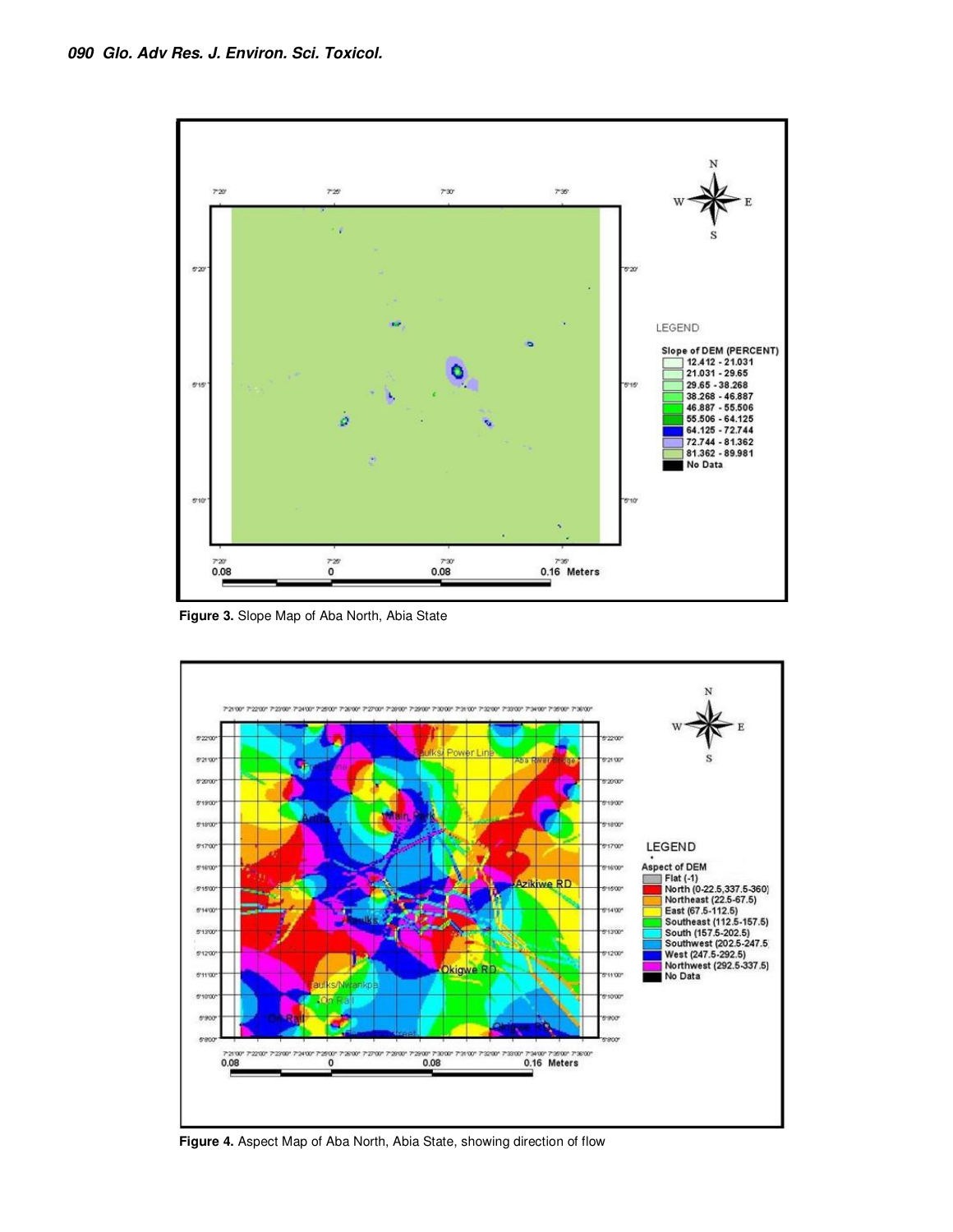

**Figure 3.** Slope Map of Aba North, Abia State



**Figure 4.** Aspect Map of Aba North, Abia State, showing direction of flow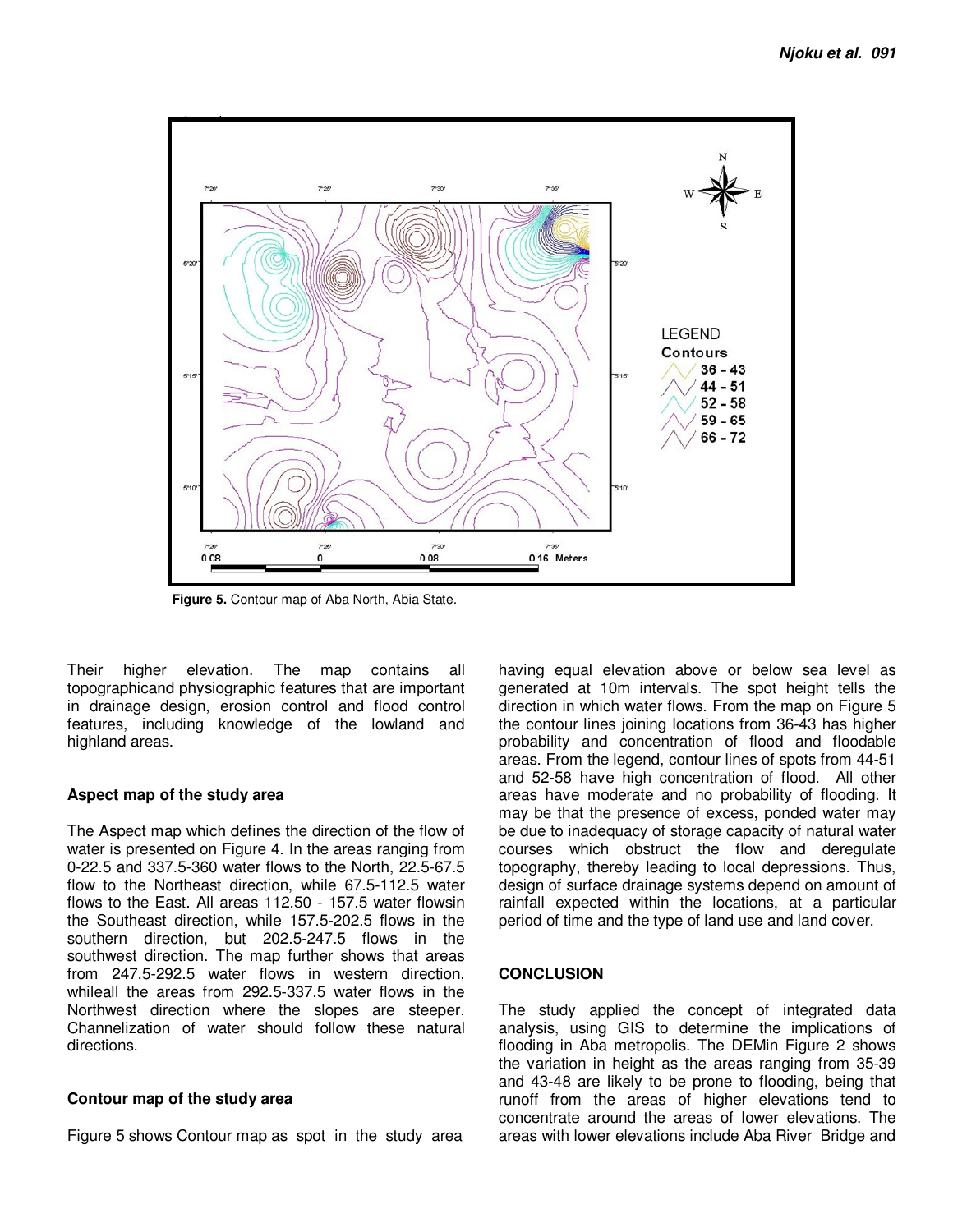

**Figure 5.** Contour map of Aba North, Abia State.

Their higher elevation. The map contains all topographicand physiographic features that are important in drainage design, erosion control and flood control features, including knowledge of the lowland and highland areas.

## **Aspect map of the study area**

The Aspect map which defines the direction of the flow of water is presented on Figure 4. In the areas ranging from 0-22.5 and 337.5-360 water flows to the North, 22.5-67.5 flow to the Northeast direction, while 67.5-112.5 water flows to the East. All areas 112.50 - 157.5 water flowsin the Southeast direction, while 157.5-202.5 flows in the southern direction, but 202.5-247.5 flows in the southwest direction. The map further shows that areas from 247.5-292.5 water flows in western direction, whileall the areas from 292.5-337.5 water flows in the Northwest direction where the slopes are steeper. Channelization of water should follow these natural directions.

## **Contour map of the study area**

Figure 5 shows Contour map as spot in the study area

having equal elevation above or below sea level as generated at 10m intervals. The spot height tells the direction in which water flows. From the map on Figure 5 the contour lines joining locations from 36-43 has higher probability and concentration of flood and floodable areas. From the legend, contour lines of spots from 44-51 and 52-58 have high concentration of flood. All other areas have moderate and no probability of flooding. It may be that the presence of excess, ponded water may be due to inadequacy of storage capacity of natural water courses which obstruct the flow and deregulate topography, thereby leading to local depressions. Thus, design of surface drainage systems depend on amount of rainfall expected within the locations, at a particular period of time and the type of land use and land cover.

## **CONCLUSION**

The study applied the concept of integrated data analysis, using GIS to determine the implications of flooding in Aba metropolis. The DEMin Figure 2 shows the variation in height as the areas ranging from 35-39 and 43-48 are likely to be prone to flooding, being that runoff from the areas of higher elevations tend to concentrate around the areas of lower elevations. The areas with lower elevations include Aba River Bridge and